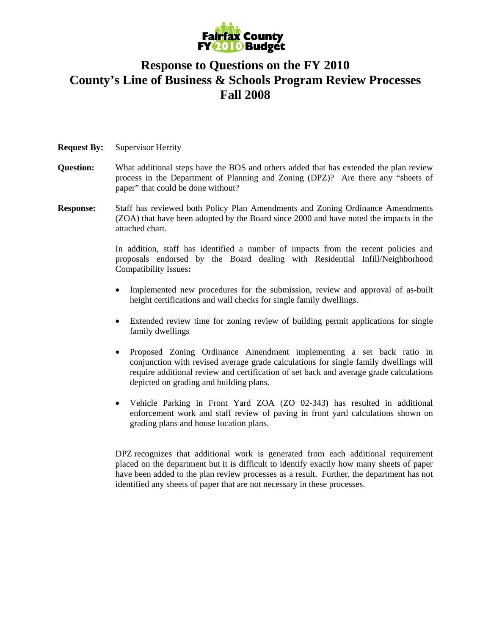

## **Response to Questions on the FY 2010 County's Line of Business & Schools Program Review Processes Fall 2008**

## **Request By:** Supervisor Herrity

- **Question:** What additional steps have the BOS and others added that has extended the plan review process in the Department of Planning and Zoning (DPZ)? Are there any "sheets of paper" that could be done without?
- **Response:** Staff has reviewed both Policy Plan Amendments and Zoning Ordinance Amendments (ZOA) that have been adopted by the Board since 2000 and have noted the impacts in the attached chart.

In addition, staff has identified a number of impacts from the recent policies and proposals endorsed by the Board dealing with Residential Infill/Neighborhood Compatibility Issues**:** 

- Implemented new procedures for the submission, review and approval of as-built height certifications and wall checks for single family dwellings.
- Extended review time for zoning review of building permit applications for single family dwellings
- Proposed Zoning Ordinance Amendment implementing a set back ratio in conjunction with revised average grade calculations for single family dwellings will require additional review and certification of set back and average grade calculations depicted on grading and building plans.
- Vehicle Parking in Front Yard ZOA (ZO 02-343) has resulted in additional enforcement work and staff review of paving in front yard calculations shown on grading plans and house location plans.

DPZ recognizes that additional work is generated from each additional requirement placed on the department but it is difficult to identify exactly how many sheets of paper have been added to the plan review processes as a result. Further, the department has not identified any sheets of paper that are not necessary in these processes.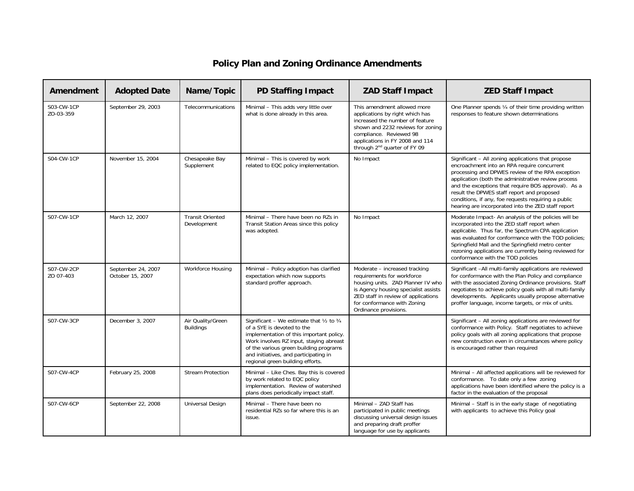## **Policy Plan and Zoning Ordinance Amendments**

| Amendment               | <b>Adopted Date</b>                    | Name/Topic                             | <b>PD Staffing Impact</b>                                                                                                                                                                                                                                                                 | <b>ZAD Staff Impact</b>                                                                                                                                                                                                                          | <b>ZED Staff Impact</b>                                                                                                                                                                                                                                                                                                                                                                                                        |
|-------------------------|----------------------------------------|----------------------------------------|-------------------------------------------------------------------------------------------------------------------------------------------------------------------------------------------------------------------------------------------------------------------------------------------|--------------------------------------------------------------------------------------------------------------------------------------------------------------------------------------------------------------------------------------------------|--------------------------------------------------------------------------------------------------------------------------------------------------------------------------------------------------------------------------------------------------------------------------------------------------------------------------------------------------------------------------------------------------------------------------------|
| S03-CW-1CP<br>ZO-03-359 | September 29, 2003                     | Telecommunications                     | Minimal - This adds very little over<br>what is done already in this area.                                                                                                                                                                                                                | This amendment allowed more<br>applications by right which has<br>increased the number of feature<br>shown and 2232 reviews for zoning<br>compliance. Reviewed 98<br>applications in FY 2008 and 114<br>through 2 <sup>nd</sup> quarter of FY 09 | One Planner spends 1/4 of their time providing written<br>responses to feature shown determinations                                                                                                                                                                                                                                                                                                                            |
| S04-CW-1CP              | November 15, 2004                      | Chesapeake Bay<br>Supplement           | Minimal - This is covered by work<br>related to EQC policy implementation.                                                                                                                                                                                                                | No Impact                                                                                                                                                                                                                                        | Significant - All zoning applications that propose<br>encroachment into an RPA require concurrent<br>processing and DPWES review of the RPA exception<br>application (both the administrative review process<br>and the exceptions that require BOS approval). As a<br>result the DPWES staff report and proposed<br>conditions, if any, foe requests requiring a public<br>hearing are incorporated into the ZED staff report |
| S07-CW-1CP              | March 12, 2007                         | <b>Transit Oriented</b><br>Development | Minimal - There have been no RZs in<br>Transit Station Areas since this policy<br>was adopted.                                                                                                                                                                                            | No Impact                                                                                                                                                                                                                                        | Moderate Impact- An analysis of the policies will be<br>incorporated into the ZED staff report when<br>applicable. Thus far, the Spectrum CPA application<br>was evaluated for conformance with the TOD policies;<br>Springfield Mall and the Springfield metro center<br>rezoning applications are currently being reviewed for<br>conformance with the TOD policies                                                          |
| S07-CW-2CP<br>ZO 07-403 | September 24, 2007<br>October 15, 2007 | <b>Workforce Housing</b>               | Minimal - Policy adoption has clarified<br>expectation which now supports<br>standard proffer approach.                                                                                                                                                                                   | Moderate - increased tracking<br>requirements for workforce<br>housing units. ZAD Planner IV who<br>is Agency housing specialist assists<br>ZED staff in review of applications<br>for conformance with Zoning<br>Ordinance provisions.          | Significant -All multi-family applications are reviewed<br>for conformance with the Plan Policy and compliance<br>with the associated Zoning Ordinance provisions. Staff<br>negotiates to achieve policy goals with all multi-family<br>developments. Applicants usually propose alternative<br>proffer language, income targets, or mix of units.                                                                             |
| S07-CW-3CP              | December 3, 2007                       | Air Quality/Green<br><b>Buildings</b>  | Significant - We estimate that $1/2$ to $3/4$<br>of a SYE is devoted to the<br>implementation of this important policy.<br>Work involves RZ input, staying abreast<br>of the various green building programs<br>and initiatives, and participating in<br>regional green building efforts. |                                                                                                                                                                                                                                                  | Significant - All zoning applications are reviewed for<br>conformance with Policy. Staff negotiates to achieve<br>policy goals with all zoning applications that propose<br>new construction even in circumstances where policy<br>is encouraged rather than required                                                                                                                                                          |
| S07-CW-4CP              | February 25, 2008                      | <b>Stream Protection</b>               | Minimal - Like Ches. Bay this is covered<br>by work related to EQC policy<br>implementation. Review of watershed<br>plans does periodically impact staff.                                                                                                                                 |                                                                                                                                                                                                                                                  | Minimal - All affected applications will be reviewed for<br>conformance. To date only a few zoning<br>applications have been identified where the policy is a<br>factor in the evaluation of the proposal                                                                                                                                                                                                                      |
| S07-CW-6CP              | September 22, 2008                     | Universal Design                       | Minimal - There have been no<br>residential RZs so far where this is an<br>issue.                                                                                                                                                                                                         | Minimal - ZAD Staff has<br>participated in public meetings<br>discussing universal design issues<br>and preparing draft proffer<br>language for use by applicants                                                                                | Minimal - Staff is in the early stage of negotiating<br>with applicants to achieve this Policy goal                                                                                                                                                                                                                                                                                                                            |